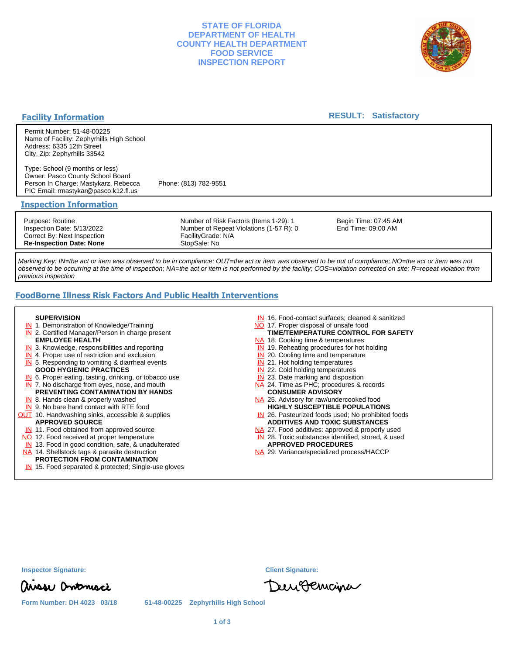## **STATE OF FLORIDA DEPARTMENT OF HEALTH COUNTY HEALTH DEPARTMENT FOOD SERVICE INSPECTION REPORT**



## **Facility Information**

### **RESULT: Satisfactory**

Permit Number: 51-48-00225 Name of Facility: Zephyrhills High School Address: 6335 12th Street City, Zip: Zephyrhills 33542

Type: School (9 months or less) Owner: Pasco County School Board Person In Charge: Mastykarz, Rebecca Phone: (813) 782-9551 PIC Email: rmastykar@pasco.k12.fl.us

#### **Inspection Information**

Purpose: Routine Inspection Date: 5/13/2022 Correct By: Next Inspection **Re-Inspection Date: None**

Number of Risk Factors (Items 1-29): 1 Number of Repeat Violations (1-57 R): 0 FacilityGrade: N/A StopSale: No

Begin Time: 07:45 AM End Time: 09:00 AM

Marking Key: IN=the act or item was observed to be in compliance; OUT=the act or item was observed to be out of compliance; NO=the act or item was not observed to be occurring at the time of inspection; NA=the act or item is not performed by the facility; COS=violation corrected on site; R=repeat violation from previous inspection

# **FoodBorne Illness Risk Factors And Public Health Interventions**

#### **SUPERVISION**

- **IN** 1. Demonstration of Knowledge/Training
- **IN** 2. Certified Manager/Person in charge present **EMPLOYEE HEALTH**
- **IN** 3. Knowledge, responsibilities and reporting
- **IN** 4. Proper use of restriction and exclusion
- **IN** 5. Responding to vomiting & diarrheal events
- **GOOD HYGIENIC PRACTICES**
- **IN** 6. Proper eating, tasting, drinking, or tobacco use **IN** 7. No discharge from eyes, nose, and mouth
- **PREVENTING CONTAMINATION BY HANDS**
- IN 8. Hands clean & properly washed
- **IN** 9. No bare hand contact with RTE food **OUT** 10. Handwashing sinks, accessible & supplies **APPROVED SOURCE**
	- **IN** 11. Food obtained from approved source
- NO 12. Food received at proper temperature
- IN 13. Food in good condition, safe, & unadulterated
- NA 14. Shellstock tags & parasite destruction

## **PROTECTION FROM CONTAMINATION**

IN 15. Food separated & protected; Single-use gloves

- IN 16. Food-contact surfaces; cleaned & sanitized
- NO 17. Proper disposal of unsafe food
- NA 18. Cooking time & temperatures **TIME/TEMPERATURE CONTROL FOR SAFETY**
- 
- **IN** 19. Reheating procedures for hot holding **IN** 20. Cooling time and temperature
- 
- IN 21. Hot holding temperatures **IN** 22. Cold holding temperatures
- **IN** 23. Date marking and disposition
- NA 24. Time as PHC; procedures & records **CONSUMER ADVISORY**
- NA 25. Advisory for raw/undercooked food **HIGHLY SUSCEPTIBLE POPULATIONS**
- IN 26. Pasteurized foods used; No prohibited foods **ADDITIVES AND TOXIC SUBSTANCES**
- NA 27. Food additives: approved & properly used
- IN 28. Toxic substances identified, stored, & used **APPROVED PROCEDURES**
- NA 29. Variance/specialized process/HACCP

DeurBemaine

| misse Ontonisci |
|-----------------|

**Form Number: DH 4023 03/18 51-48-00225 Zephyrhills High School**

**Inspector Signature: Client Signature:**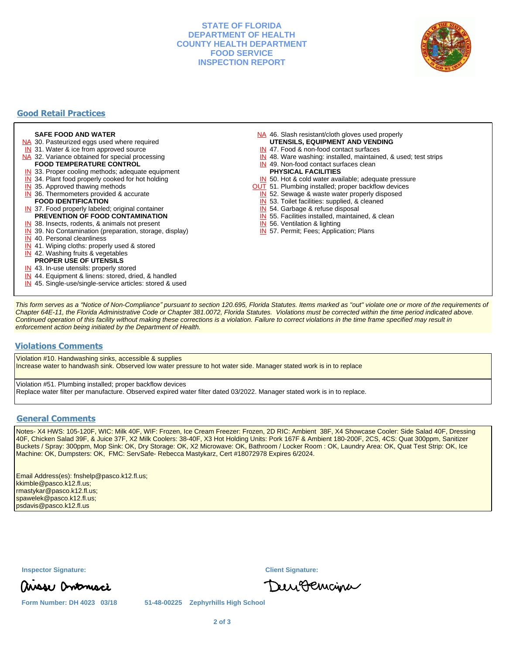## **STATE OF FLORIDA DEPARTMENT OF HEALTH COUNTY HEALTH DEPARTMENT FOOD SERVICE INSPECTION REPORT**



# **Good Retail Practices**

#### **SAFE FOOD AND WATER**

- NA 30. Pasteurized eggs used where required
- IN 31. Water & ice from approved source
- NA 32. Variance obtained for special processing **FOOD TEMPERATURE CONTROL**
- 
- **IN** 33. Proper cooling methods; adequate equipment
- **IN** 34. Plant food properly cooked for hot holding
- **IN** 35. Approved thawing methods
- IN 36. Thermometers provided & accurate **FOOD IDENTIFICATION**
- IN 37. Food properly labeled; original container **PREVENTION OF FOOD CONTAMINATION**
- IN 38. Insects, rodents, & animals not present
- **IN** 39. No Contamination (preparation, storage, display)
- IN 40. Personal cleanliness
- IN 41. Wiping cloths: properly used & stored
- IN 42. Washing fruits & vegetables
- **PROPER USE OF UTENSILS**
- IN 43. In-use utensils: properly stored
- IN 44. Equipment & linens: stored, dried, & handled
- IN 45. Single-use/single-service articles: stored & used
- NA 46. Slash resistant/cloth gloves used properly
- **UTENSILS, EQUIPMENT AND VENDING**
- IN 47. Food & non-food contact surfaces
- IN 48. Ware washing: installed, maintained, & used; test strips
- IN 49. Non-food contact surfaces clean
- **PHYSICAL FACILITIES**
- IN 50. Hot & cold water available; adequate pressure
- **OUT** 51. Plumbing installed; proper backflow devices
- IN 52. Sewage & waste water properly disposed

IN 55. Facilities installed, maintained, & clean

IN 53. Toilet facilities: supplied, & cleaned

IN 57. Permit; Fees; Application; Plans

IN 54. Garbage & refuse disposal

IN 56. Ventilation & lighting

This form serves as a "Notice of Non-Compliance" pursuant to section 120.695, Florida Statutes. Items marked as "out" violate one or more of the requirements of Chapter 64E-11, the Florida Administrative Code or Chapter 381.0072, Florida Statutes. Violations must be corrected within the time period indicated above. Continued operation of this facility without making these corrections is a violation. Failure to correct violations in the time frame specified may result in enforcement action being initiated by the Department of Health.

#### **Violations Comments**

Violation #10. Handwashing sinks, accessible & supplies Increase water to handwash sink. Observed low water pressure to hot water side. Manager stated work is in to replace

Violation #51. Plumbing installed; proper backflow devices Replace water filter per manufacture. Observed expired water filter dated 03/2022. Manager stated work is in to replace.

#### **General Comments**

Notes- X4 HWS: 105-120F, WIC: Milk 40F, WIF: Frozen, Ice Cream Freezer: Frozen, 2D RIC: Ambient 38F, X4 Showcase Cooler: Side Salad 40F, Dressing 40F, Chicken Salad 39F, & Juice 37F, X2 Milk Coolers: 38-40F, X3 Hot Holding Units: Pork 167F & Ambient 180-200F, 2CS, 4CS: Quat 300ppm, Sanitizer Buckets / Spray: 300ppm, Mop Sink: OK, Dry Storage: OK, X2 Microwave: OK, Bathroom / Locker Room : OK, Laundry Area: OK, Quat Test Strip: OK, Ice Machine: OK, Dumpsters: OK, FMC: ServSafe- Rebecca Mastykarz, Cert #18072978 Expires 6/2024.

Email Address(es): fnshelp@pasco.k12.fl.us; kkimble@pasco.k12.fl.us; rmastykar@pasco.k12.fl.us; spawelek@pasco.k12.fl.us; psdavis@pasco.k12.fl.us

**Inspector Signature: Client Signature:**

DeurBemaine

**Form Number: DH 4023 03/18 51-48-00225 Zephyrhills High School**

ausse Ontonisci